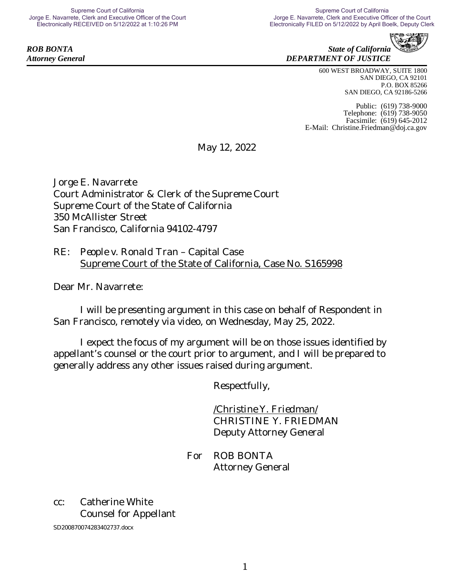**ROB BONTA** State of California *Attorney General DEPARTMENT OF JUSTICE*

> 600 WEST BROADWAY, SUITE 1800 SAN DIEGO, CA 92101 P.O. BOX 85266 SAN DIEGO, CA 92186-5266

Public: (619) 738-9000 Telephone: (619) 738-9050 Facsimile: (619) 645-2012 E-Mail: [Christine.Friedman@doj.ca.gov](mailto:Christine.Friedman@doj.ca.gov)

May 12, 2022

Jorge E. Navarrete Court Administrator & Clerk of the Supreme Court Supreme Court of the State of California 350 McAllister Street San Francisco, California 94102-4797

RE: *People v. Ronald Tran* – Capital Case Supreme Court of the State of California, Case No. S165998

Dear Mr. Navarrete:

I will be presenting argument in this case on behalf of Respondent in San Francisco, remotely via video, on Wednesday, May 25, 2022.

I expect the focus of my argument will be on those issues identified by appellant's counsel or the court prior to argument, and I will be prepared to generally address any other issues raised during argument.

Respectfully,

*/Christine Y. Friedman/* CHRISTINE Y. FRIEDMAN Deputy Attorney General

For ROB BONTA Attorney General

## cc: Catherine White Counsel for Appellant

SD200870074283402737.docx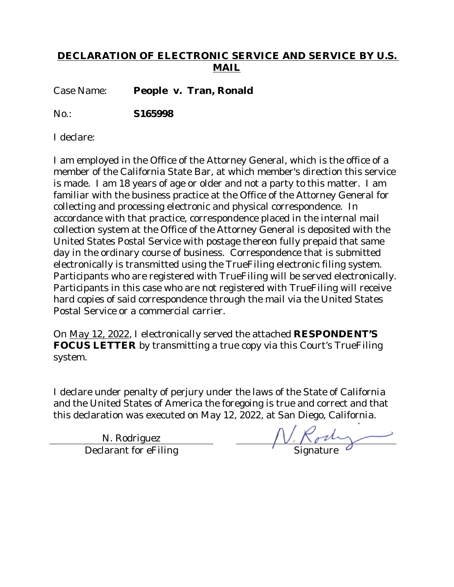## **DECLARATION OF ELECTRONIC SERVICE AND SERVICE BY U.S. MAIL**

Case Name: **People v. Tran, Ronald**

No.: **S165998**

I declare:

I am employed in the Office of the Attorney General, which is the office of a member of the California State Bar, at which member's direction this service is made. I am 18 years of age or older and not a party to this matter. I am familiar with the business practice at the Office of the Attorney General for collecting and processing electronic and physical correspondence. In accordance with that practice, correspondence placed in the internal mail collection system at the Office of the Attorney General is deposited with the United States Postal Service with postage thereon fully prepaid that same day in the ordinary course of business. Correspondence that is submitted electronically is transmitted using the TrueFiling electronic filing system. Participants who are registered with TrueFiling will be served electronically. Participants in this case who are not registered with TrueFiling will receive hard copies of said correspondence through the mail via the United States Postal Service or a commercial carrier.

On May 12, 2022, I electronically served the attached **RESPONDENT'S FOCUS LETTER** by transmitting a true copy via this Court's TrueFiling system.

I declare under penalty of perjury under the laws of the State of California and the United States of America the foregoing is true and correct and that this declaration was executed on May 12, 2022, at San Diego, California.

N. Rodriguez Declarant for eFiling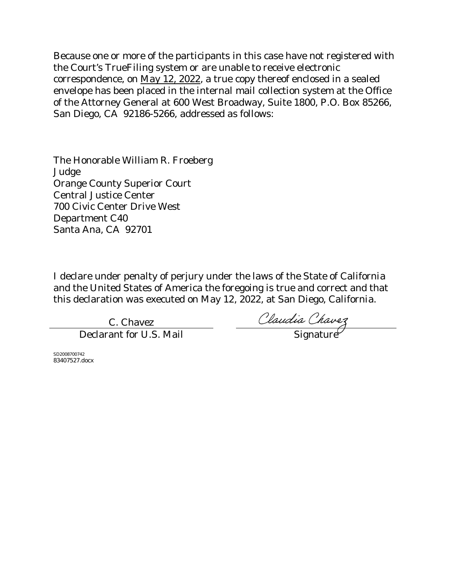Because one or more of the participants in this case have not registered with the Court's TrueFiling system or are unable to receive electronic correspondence, on May 12, 2022, a true copy thereof enclosed in a sealed envelope has been placed in the internal mail collection system at the Office of the Attorney General at 600 West Broadway, Suite 1800, P.O. Box 85266, San Diego, CA 92186-5266, addressed as follows:

The Honorable William R. Froeberg Judge Orange County Superior Court Central Justice Center 700 Civic Center Drive West Department C40 Santa Ana, CA 92701

I declare under penalty of perjury under the laws of the State of California and the United States of America the foregoing is true and correct and that this declaration was executed on May 12, 2022, at San Diego, California.

C. Chavez

C. Chavez<br>Declarant for U.S. Mail Signature

SD2008700742 83407527.docx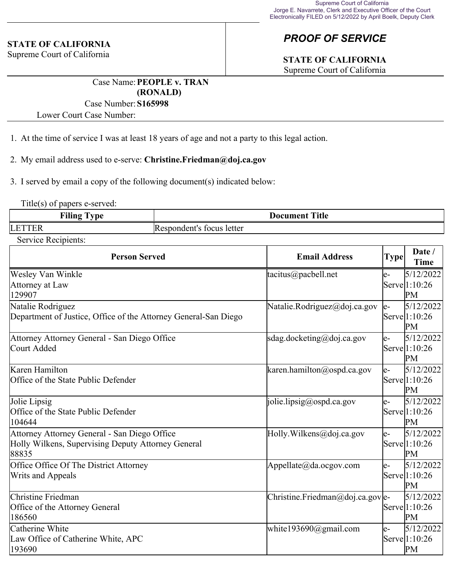#### **STATE OF CALIFORNIA**

Supreme Court of California

# *PROOF OF SERVICE*

# **STATE OF CALIFORNIA**

Supreme Court of California

Case Name:**PEOPLE v. TRAN (RONALD)**

#### Case Number:**S165998**

Lower Court Case Number:

- 1. At the time of service I was at least 18 years of age and not a party to this legal action.
- 2. My email address used to e-serve: **Christine.Friedman@doj.ca.gov**
- 3. I served by email a copy of the following document(s) indicated below:

Title(s) of papers e-served:

| <b>Filing</b>  | <b>Title</b>              |
|----------------|---------------------------|
| <b>vpe</b>     | <b>Document</b>           |
| LETTF<br>. E.N | Respondent's focus letter |

Service Recipients:

| <b>Person Served</b>                                                                                        | <b>Email Address</b>              | <b>Type</b> | Date /<br><b>Time</b>             |
|-------------------------------------------------------------------------------------------------------------|-----------------------------------|-------------|-----------------------------------|
| Wesley Van Winkle<br>Attorney at Law<br>129907                                                              | tacitus@pacbell.net               | le-         | 5/12/2022<br>Serve 1:10:26<br>PM  |
| Natalie Rodriguez<br>Department of Justice, Office of the Attorney General-San Diego                        | Natalie.Rodriguez@doj.ca.gov      | le-         | 5/12/2022<br>Serve 1:10:26<br>PM  |
| Attorney Attorney General - San Diego Office<br>Court Added                                                 | sdag.docketing@doj.ca.gov         | e-          | 5/12/2022<br>Serve 1:10:26<br>PM  |
| Karen Hamilton<br>Office of the State Public Defender                                                       | karen.hamilton@ospd.ca.gov        | le-         | 5/12/2022<br>Servel1:10:26<br>PM  |
| Jolie Lipsig<br>Office of the State Public Defender<br>104644                                               | $\vert$ jolie.lipsig@ospd.ca.gov  | le-         | 5/12/2022<br>Serve 1:10:26<br>PM  |
| Attorney Attorney General - San Diego Office<br>Holly Wilkens, Supervising Deputy Attorney General<br>88835 | Holly. Wilkens@doj.ca.gov         | e-          | 5/12/20221<br>Serve 1:10:26<br>PМ |
| Office Office Of The District Attorney<br><b>Writs and Appeals</b>                                          | Appellate@da.ocgov.com            | le-         | 5/12/20221<br>Serve 1:10:26<br>PM |
| Christine Friedman<br>Office of the Attorney General<br>186560                                              | Christine. Friedman@doj.ca.gov e- |             | 5/12/2022<br>Serve 1:10:26<br>PM  |
| Catherine White<br>Law Office of Catherine White, APC<br>193690                                             | white193690@gmail.com             | e-          | 5/12/2022<br>Serve 1:10:26<br>PM  |